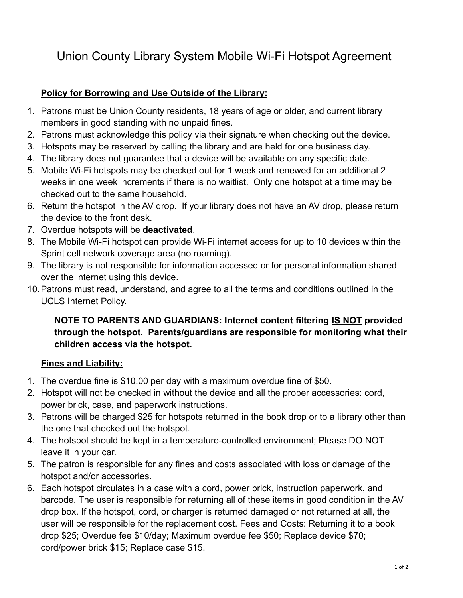# Union County Library System Mobile Wi-Fi Hotspot Agreement

### **Policy for Borrowing and Use Outside of the Library:**

- 1. Patrons must be Union County residents, 18 years of age or older, and current library members in good standing with no unpaid fines.
- 2. Patrons must acknowledge this policy via their signature when checking out the device.
- 3. Hotspots may be reserved by calling the library and are held for one business day.
- 4. The library does not guarantee that a device will be available on any specific date.
- 5. Mobile Wi-Fi hotspots may be checked out for 1 week and renewed for an additional 2 weeks in one week increments if there is no waitlist. Only one hotspot at a time may be checked out to the same household.
- 6. Return the hotspot in the AV drop. If your library does not have an AV drop, please return the device to the front desk.
- 7. Overdue hotspots will be **deactivated**.
- 8. The Mobile Wi-Fi hotspot can provide Wi-Fi internet access for up to 10 devices within the Sprint cell network coverage area (no roaming).
- 9. The library is not responsible for information accessed or for personal information shared over the internet using this device.
- 10.Patrons must read, understand, and agree to all the terms and conditions outlined in the UCLS Internet Policy.

### **NOTE TO PARENTS AND GUARDIANS: Internet content filtering IS NOT provided through the hotspot. Parents/guardians are responsible for monitoring what their children access via the hotspot.**

### **Fines and Liability:**

- 1. The overdue fine is \$10.00 per day with a maximum overdue fine of \$50.
- 2. Hotspot will not be checked in without the device and all the proper accessories: cord, power brick, case, and paperwork instructions.
- 3. Patrons will be charged \$25 for hotspots returned in the book drop or to a library other than the one that checked out the hotspot.
- 4. The hotspot should be kept in a temperature-controlled environment; Please DO NOT leave it in your car.
- 5. The patron is responsible for any fines and costs associated with loss or damage of the hotspot and/or accessories.
- 6. Each hotspot circulates in a case with a cord, power brick, instruction paperwork, and barcode. The user is responsible for returning all of these items in good condition in the AV drop box. If the hotspot, cord, or charger is returned damaged or not returned at all, the user will be responsible for the replacement cost. Fees and Costs: Returning it to a book drop \$25; Overdue fee \$10/day; Maximum overdue fee \$50; Replace device \$70; cord/power brick \$15; Replace case \$15.